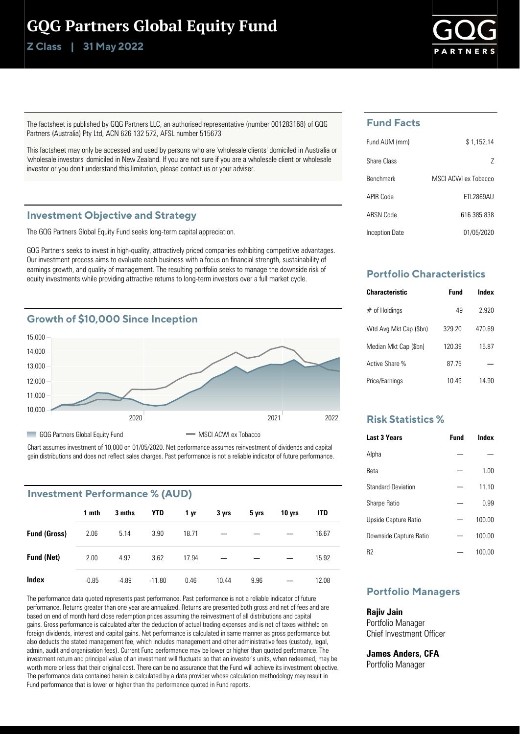# GQG Partners Global Equity Fund

**Class | Z 31 May 2022**



The factsheet is published by GQG Partners LLC, an authorised representative (number 001283168) of GQG Partners (Australia) Pty Ltd, ACN 626 132 572, AFSL number 515673

This factsheet may only be accessed and used by persons who are 'wholesale clients' domiciled in Australia or 'wholesale investors' domiciled in New Zealand. If you are not sure if you are a wholesale client or wholesale investor or you don't understand this limitation, please contact us or your adviser.

### **Investment Objective and Strategy**

The GQG Partners Global Equity Fund seeks long-term capital appreciation.

GQG Partners seeks to invest in high-quality, attractively priced companies exhibiting competitive advantages. Our investment process aims to evaluate each business with a focus on financial strength, sustainability of earnings growth, and quality of management. The resulting portfolio seeks to manage the downside risk of equity investments while providing attractive returns to long-term investors over a full market cycle.



Chart assumes investment of 10,000 on 01/05/2020. Net performance assumes reinvestment of dividends and capital gain distributions and does not reflect sales charges. Past performance is not a reliable indicator of future performance.

### **Investment Performance % (AUD)**

|                     | 1 mth   | 3 mths  | YTD      | 1 yr  | 3 yrs | 5 yrs | 10 yrs | <b>ITD</b> |
|---------------------|---------|---------|----------|-------|-------|-------|--------|------------|
| <b>Fund (Gross)</b> | 2.06    | 5.14    | 3.90     | 18.71 | —     |       |        | 16.67      |
| <b>Fund (Net)</b>   | 2.00    | 4.97    | 3.62     | 17.94 | –     |       |        | 15.92      |
| <b>Index</b>        | $-0.85$ | $-4.89$ | $-11.80$ | 0.46  | 10.44 | 9.96  |        | 12.08      |

The performance data quoted represents past performance. Past performance is not a reliable indicator of future performance. Returns greater than one year are annualized. Returns are presented both gross and net of fees and are based on end of month hard close redemption prices assuming the reinvestment of all distributions and capital gains. Gross performance is calculated after the deduction of actual trading expenses and is net of taxes withheld on foreign dividends, interest and capital gains. Net performance is calculated in same manner as gross performance but also deducts the stated management fee, which includes management and other administrative fees (custody, legal, admin, audit and organisation fees). Current Fund performance may be lower or higher than quoted performance. The investment return and principal value of an investment will fluctuate so that an investor's units, when redeemed, may be worth more or less that their original cost. There can be no assurance that the Fund will achieve its investment objective. The performance data contained herein is calculated by a data provider whose calculation methodology may result in Fund performance that is lower or higher than the performance quoted in Fund reports.

# **Fund Facts**

| Fund AUM (mm)    | \$1,152.14         |
|------------------|--------------------|
| Share Class      | $\prime$           |
| <b>Benchmark</b> | MSCLACWLex Tobacco |
| APIR Code        | <b>FTI 2869AU</b>  |
| ARSN Code        | 616 385 838        |
| Inception Date   | 01/05/2020         |

# **Portfolio Characteristics**

| <b>Characteristic</b>  | Fund   | Index |
|------------------------|--------|-------|
| $#$ of Holdings        | 49     | 2.920 |
| Wtd Avg Mkt Cap (\$bn) | 329 20 | 47069 |
| Median Mkt Cap (\$bn)  | 120.39 | 15.87 |
| Active Share %         | 8775   |       |
| Price/Earnings         | 1049   | 14.90 |

### **Risk Statistics %**

| <b>Last 3 Years</b>       | Fund | Index  |
|---------------------------|------|--------|
| Alpha                     |      |        |
| Reta                      |      | 1.00   |
| <b>Standard Deviation</b> |      | 11.10  |
| <b>Sharpe Ratio</b>       |      | 0.99   |
| Upside Capture Ratio      |      | 100.00 |
| Downside Capture Ratio    |      | 100.00 |
| R2                        |      | 100.00 |

# **Portfolio Managers**

# **Rajiv Jain**

Portfolio Manager Chief Investment Officer

**James Anders, CFA**

Portfolio Manager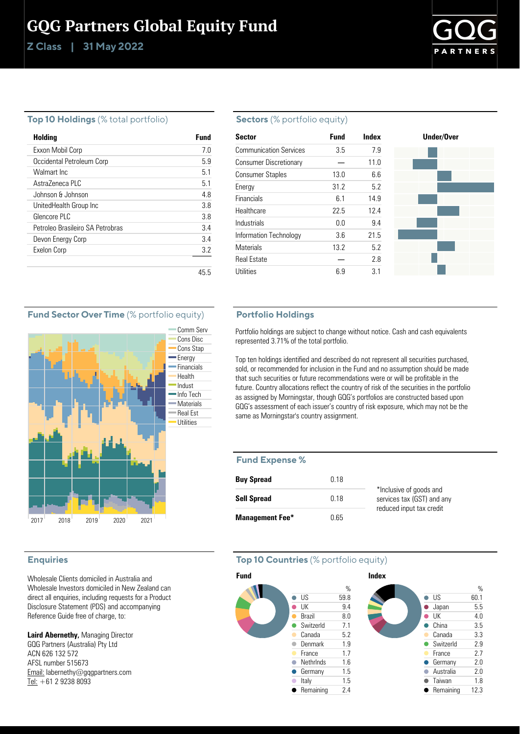# GQG Partners Global Equity Fund

**Class | Z 31 May 2022**



### **Top 10 Holdings** (% total portfolio)

| Holding                          | Fund |
|----------------------------------|------|
| Exxon Mobil Corp                 | 70   |
| Occidental Petroleum Corp        | 59   |
| Walmart Inc                      | 51   |
| Astra7eneca PLC                  | 51   |
| Johnson & Johnson                | 48   |
| UnitedHealth Group Inc           | 38   |
| Glencore PLC                     | 38   |
| Petroleo Brasileiro SA Petrobras | 34   |
| Devon Energy Corp                | 34   |
| Exelon Corp                      | 3.2  |
|                                  |      |
|                                  | 45.5 |

#### **Sectors** (% portfolio equity)

| Sector                        | <b>Fund</b> | Index | Under/Over |
|-------------------------------|-------------|-------|------------|
| <b>Communication Services</b> | 3.5         | 7.9   |            |
| <b>Consumer Discretionary</b> |             | 11.0  |            |
| <b>Consumer Staples</b>       | 13.0        | 6.6   |            |
| Energy                        | 31.2        | 5.2   |            |
| <b>Financials</b>             | 6.1         | 14.9  |            |
| Healthcare                    | 22.5        | 12.4  |            |
| Industrials                   | 0.0         | 9.4   |            |
| Information Technology        | 3.6         | 21.5  |            |
| <b>Materials</b>              | 13.2        | 5.2   |            |
| <b>Real Estate</b>            |             | 2.8   |            |
| Utilities                     | 6.9         | 3.1   |            |

### **Fund Sector Over Time** (% portfolio equity)



### **Enquiries**

Wholesale Clients domiciled in Australia and Wholesale Investors domiciled in New Zealand can direct all enquiries, including requests for a Product Disclosure Statement (PDS) and accompanying Reference Guide free of charge, to:

**Laird Abernethy,** Managing Director GQG Partners (Australia) Pty Ltd ACN 626 132 572 AFSL number 515673 Email: labernethy@gqgpartners.com Tel: +61 2 9238 8093

### **Portfolio Holdings**

Portfolio holdings are subject to change without notice. Cash and cash equivalents represented 3.71% of the total portfolio.

Top ten holdings identified and described do not represent all securities purchased, sold, or recommended for inclusion in the Fund and no assumption should be made that such securities or future recommendations were or will be profitable in the future. Country allocations reflect the country of risk of the securities in the portfolio as assigned by Morningstar, though GQG's portfolios are constructed based upon GQG's assessment of each issuer's country of risk exposure, which may not be the same as Morningstar's country assignment.

#### **Fund Expense %**

| <b>Buy Spread</b>      | 0.18 |                                                       |
|------------------------|------|-------------------------------------------------------|
| <b>Sell Spread</b>     | O 18 | *Inclusive of goods and<br>services tax (GST) and any |
| <b>Management Fee*</b> | Ი 65 | reduced input tax credit                              |

# **Top 10 Countries** (% portfolio equity)